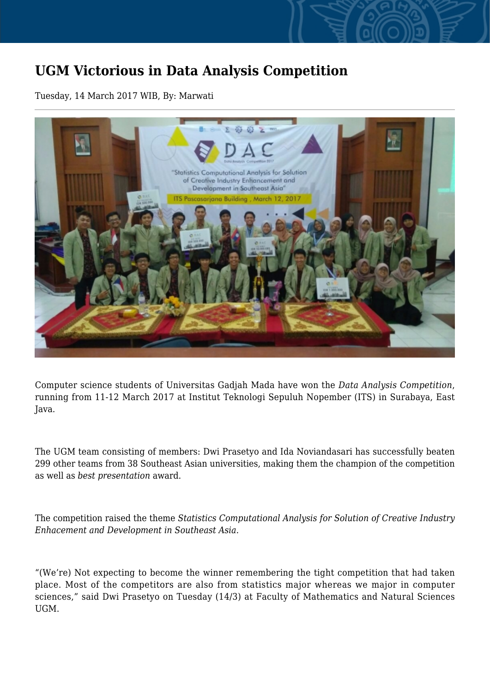## **UGM Victorious in Data Analysis Competition**

Tuesday, 14 March 2017 WIB, By: Marwati



Computer science students of Universitas Gadjah Mada have won the *Data Analysis Competition*, running from 11-12 March 2017 at Institut Teknologi Sepuluh Nopember (ITS) in Surabaya, East Java.

The UGM team consisting of members: Dwi Prasetyo and Ida Noviandasari has successfully beaten 299 other teams from 38 Southeast Asian universities, making them the champion of the competition as well as *best presentation* award.

The competition raised the theme *Statistics Computational Analysis for Solution of Creative Industry Enhacement and Development in Southeast Asia.*

"(We're) Not expecting to become the winner remembering the tight competition that had taken place. Most of the competitors are also from statistics major whereas we major in computer sciences," said Dwi Prasetyo on Tuesday (14/3) at Faculty of Mathematics and Natural Sciences UGM.